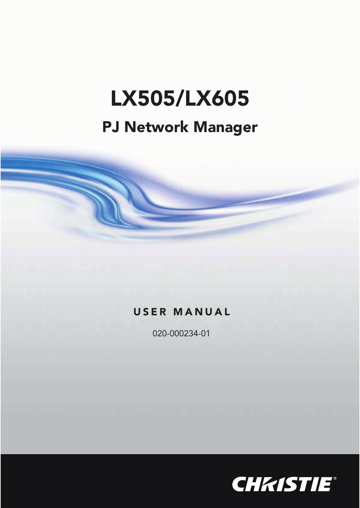# LX<sub>D</sub>

## **PJ Network Manager**

## **USER MANUAL**

020-000234-01

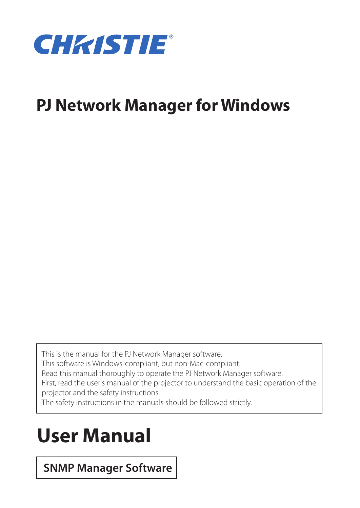

## **PJ Network Manager for Windows**

This is the manual for the PJ Network Manager software.

This software is Windows-compliant, but non-Mac-compliant.

Read this manual thoroughly to operate the PJ Network Manager software.

First, read the user's manual of the projector to understand the basic operation of the projector and the safety instructions.

The safety instructions in the manuals should be followed strictly.

## **User Manual**

## **SNMP Manager Software**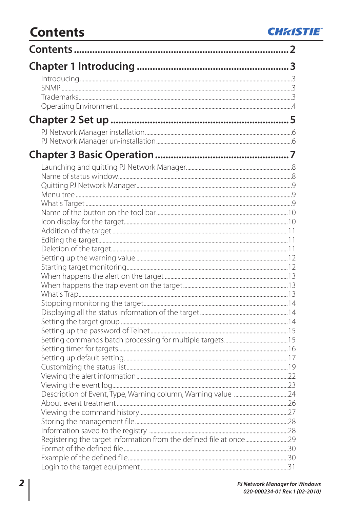## **CHRISTIE**

## **Contents**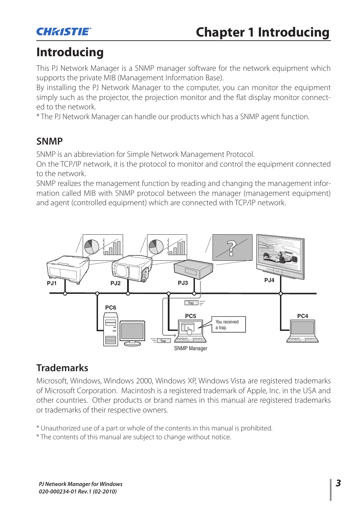

## **Introducing**

This PJ Network Manager is a SNMP manager software for the network equipment which supports the private MIB (Management Information Base).

By installing the PJ Network Manager to the computer, you can monitor the equipment simply such as the projector, the projection monitor and the flat display monitor connected to the network.

\* The PJ Network Manager can handle our products which has a SNMP agent function.

## **SNMP**

SNMP is an abbreviation for Simple Network Management Protocol.

On the TCP/IP network, it is the protocol to monitor and control the equipment connected to the network.

SNMP realizes the management function by reading and changing the management information called MIB with SNMP protocol between the manager (management equipment) and agent (controlled equipment) which are connected with TCP/IP network.



## **Trademarks**

Microsoft, Windows, Windows 2000, Windows XP, Windows Vista are registered trademarks of Microsoft Corporation. Macintosh is a registered trademark of Apple, Inc. in the USA and other countries. Other products or brand names in this manual are registered trademarks or trademarks of their respective owners.

\* Unauthorized use of a part or whole of the contents in this manual is prohibited.

\* The contents of this manual are subject to change without notice.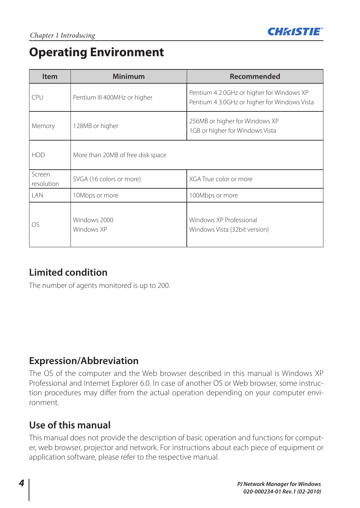

## **Operating Environment**

| <b>Item</b>          | <b>Minimum</b>                    | Recommended                                                                               |
|----------------------|-----------------------------------|-------------------------------------------------------------------------------------------|
| CPU                  | Pentium III 400MHz or higher      | Pentium 4 2.0GHz or higher for Windows XP<br>Pentium 4 3.0GHz or higher for Windows Vista |
| Memory               | 128MB or higher                   | 256MB or higher for Windows XP<br>1GB or higher for Windows Vista                         |
| <b>HDD</b>           | More than 20MB of free disk space |                                                                                           |
| Screen<br>resolution | SVGA (16 colors or more)          | XGA True color or more                                                                    |
| I AN                 | 10Mbps or more                    | 100Mbps or more                                                                           |
| OS.                  | Windows 2000<br>Windows XP        | Windows XP Professional<br>Windows Vista (32bit version)                                  |

## **Limited condition**

The number of agents monitored is up to 200.

## **Expression/Abbreviation**

The OS of the computer and the Web browser described in this manual is Windows XP Professional and Internet Explorer 6.0. In case of another OS or Web browser, some instruction procedures may differ from the actual operation depending on your computer environment.

## **Use of this manual**

This manual does not provide the description of basic operation and functions for computer, web browser, projector and network. For instructions about each piece of equipment or application software, please refer to the respective manual.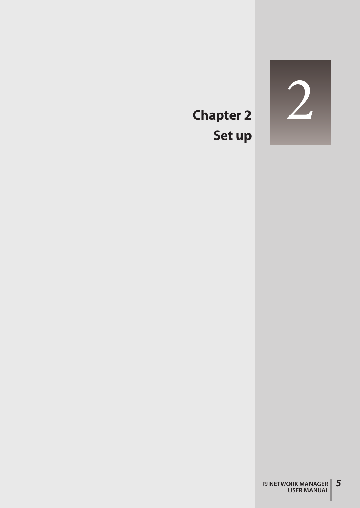

## **Chapter 2 Set up**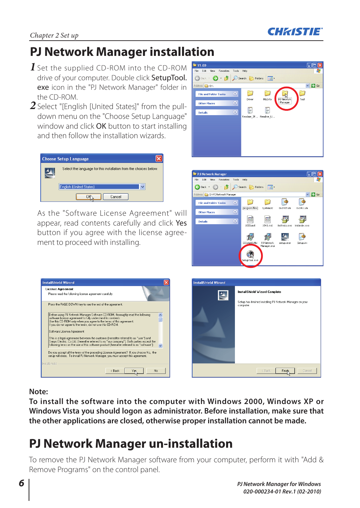

## **PJ Network Manager installation**

- *1* Set the supplied CD-ROM into the CD-ROM drive of your computer. Double click SetupTool. exe icon in the "PJ Network Manager" folder in the CD-ROM.
- *2* Select "[English [United States]" from the pulldown menu on the "Choose Setup Language" window and click **OK** button to start installing and then follow the installation wizards.

| <b>Choose Setup Language</b>                                      |
|-------------------------------------------------------------------|
| Select the language for this installation from the choices below. |
| <b>English (United States)</b>                                    |
| Cancel                                                            |

As the "Software License Agreement" will appear, read contents carefully and click Yes button if you agree with the license agreement to proceed with installing.

| $\blacktriangleright$ V1.00               |                    |        |             |      |                  |
|-------------------------------------------|--------------------|--------|-------------|------|------------------|
| File Edit View Favorites Tools Help       |                    |        |             |      |                  |
| G Back - 0 - 5 C Search & Folders 111     |                    |        |             |      |                  |
| Address D: \                              |                    |        |             |      | $\vee$ $\Box$ Go |
| $\otimes$<br><b>File and Folder Tasks</b> | Driver             | MbInfo | PJ Network! | Tool |                  |
| $\otimes$<br><b>Other Places</b>          |                    |        | Manager     |      |                  |
| $\otimes$<br><b>Details</b>               | F                  | ļ.     |             |      |                  |
|                                           | Readme JP Readme U |        |             |      |                  |
|                                           |                    |        |             |      |                  |
|                                           |                    |        |             |      |                  |
|                                           |                    |        |             |      |                  |
|                                           |                    |        |             |      |                  |
|                                           |                    |        |             |      |                  |
|                                           |                    |        |             |      |                  |
|                                           |                    |        |             |      |                  |



| Press the PAGE DOWN key to see the rest of the agreement.<br>Before using PJ Network Manager Software CD-ROM, thoroughly read the following<br>software license agreement to fully understand its contents.<br>Use this CD-ROM only when you agree to the terms of this agreement.<br>If you do not agree to the terms, do not use this CD-ROM. |   |  |  |
|-------------------------------------------------------------------------------------------------------------------------------------------------------------------------------------------------------------------------------------------------------------------------------------------------------------------------------------------------|---|--|--|
|                                                                                                                                                                                                                                                                                                                                                 |   |  |  |
|                                                                                                                                                                                                                                                                                                                                                 | E |  |  |
| Software License Agreement<br>This is a legal agreement between the customer (hereafter referred to as "user") and<br>Sanvo Electric. Co Ltd. (hereafter referred to as "our company"). Both parties accept the<br>following terms on the use of this software product (hereafter referred to as "software")<br>$\overline{\mathbf{v}}$         |   |  |  |
| Do you accept all the terms of the preceding License Agreement? If you choose No. the<br>setup will close. To install PJ Network Manager, you must accept this agreement.                                                                                                                                                                       |   |  |  |

| <b>InstallShield Wizard</b> |                                                                                                               |
|-----------------------------|---------------------------------------------------------------------------------------------------------------|
|                             | <b>InstallShield Wizard Complete</b><br>Setup has finished installing PJ Network Manager on your<br>computer. |
|                             | Cancel<br>< Back<br>Finisk                                                                                    |

**Note:**

**To install the software into the computer with Windows 2000, Windows XP or Windows Vista you should logon as administrator. Before installation, make sure that the other applications are closed, otherwise proper installation cannot be made.**

## **PJ Network Manager un-installation**

To remove the PJ Network Manager software from your computer, perform it with "Add & Remove Programs" on the control panel.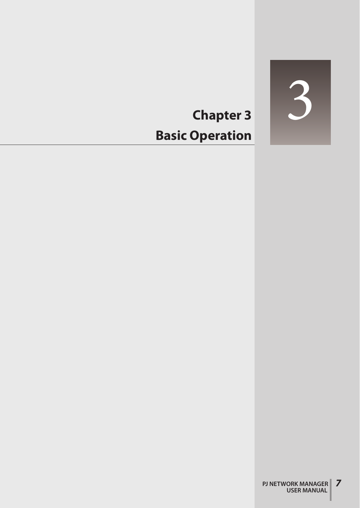

## **Chapter 3 Basic Operation**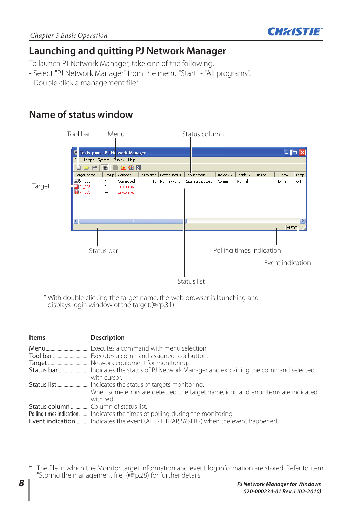

## **Launching and quitting PJ Network Manager**

To launch PJ Network Manager, take one of the following.

- Select "PJ Network Manager" from the menu "Start" "All programs".
- Double click a management file\*1 .

## **Name of status window**



 \* With double clicking the target name, the web browser is launching and displays login window of the target.( $exp.31$ )

| Items | <b>Description</b>                                                                                                                                                    |
|-------|-----------------------------------------------------------------------------------------------------------------------------------------------------------------------|
|       | Executes a command with menu selection                                                                                                                                |
|       |                                                                                                                                                                       |
|       |                                                                                                                                                                       |
|       | with cursor.                                                                                                                                                          |
|       | When some errors are detected, the target name, icon and error items are indicated<br>with red.                                                                       |
|       | Polling times indication  Indicates the times of polling during the monitoring.<br>Event indicationIndicates the event (ALERT, TRAP, SYSERR) when the event happened. |

\*1 The file in which the Monitor target information and event log information are stored. Refer to item "Storing the management file" (<sup>p</sup>p.28) for further details.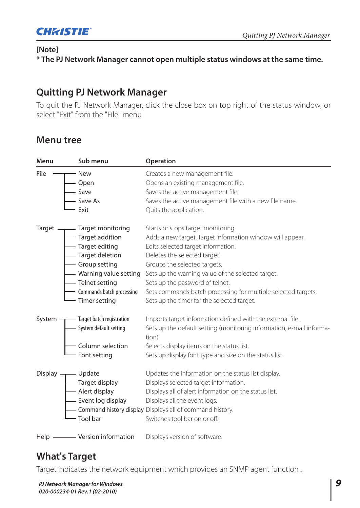

### **[Note]**

**\* The PJ Network Manager cannot open multiple status windows at the same time.**

## **Quitting PJ Network Manager**

To quit the PJ Network Manager, click the close box on top right of the status window, or select "Exit" from the "File" menu

## **Menu tree**

| Menu           | Sub menu                           | Operation                                                                      |
|----------------|------------------------------------|--------------------------------------------------------------------------------|
| File           | - New                              | Creates a new management file.                                                 |
|                |                                    | Opens an existing management file.                                             |
|                | — Open<br>— Save<br>— Save As      | Saves the active management file.                                              |
|                |                                    | Saves the active management file with a new file name.                         |
|                | Exit                               | Quits the application.                                                         |
|                | Target — Target monitoring         | Starts or stops target monitoring.                                             |
|                | - Target addition                  | Adds a new target. Target information window will appear.                      |
|                | — Target editing                   | Edits selected target information.                                             |
|                | - Target deletion                  | Deletes the selected target.                                                   |
|                | - Group setting                    | Groups the selected targets.                                                   |
|                |                                    | - Warning value setting Sets up the warning value of the selected target.      |
|                | - Telnet setting                   | Sets up the password of telnet.                                                |
|                | - Commands batch processing        | Sets commands batch processing for multiple selected targets.                  |
|                | - Timer setting                    | Sets up the timer for the selected target.                                     |
|                | System — Target batch registration | Imports target information defined with the external file.                     |
|                | - System default setting           | Sets up the default setting (monitoring information, e-mail informa-<br>tion). |
|                | - Column selection                 | Selects display items on the status list.                                      |
|                | - Font setting                     | Sets up display font type and size on the status list.                         |
| Display $\neg$ | — Update                           | Updates the information on the status list display.                            |
|                | Target display<br>Alert display    | Displays selected target information.                                          |
|                |                                    | Displays all of alert information on the status list.                          |
|                | Event log display                  | Displays all the event logs.                                                   |
|                |                                    | - Command history display Displays all of command history.                     |
|                | - Tool bar                         | Switches tool bar on or off.                                                   |
|                | Help - Version information         | Displays version of software.                                                  |

## **What's Target**

Target indicates the network equipment which provides an SNMP agent function .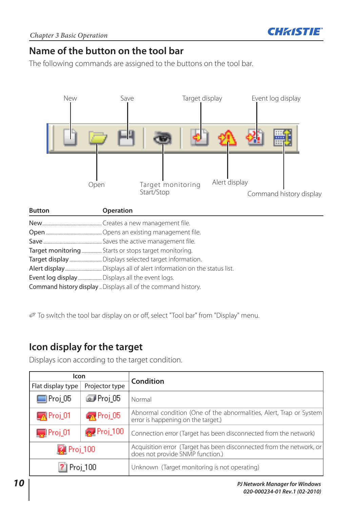

## **Name of the button on the tool bar**

The following commands are assigned to the buttons on the tool bar.



| <b>Button</b> | Operation                                                     |
|---------------|---------------------------------------------------------------|
|               |                                                               |
|               |                                                               |
|               |                                                               |
|               | Target monitoring Starts or stops target monitoring.          |
|               |                                                               |
|               |                                                               |
|               |                                                               |
|               | Command history display  Displays all of the command history. |

To switch the tool bar display on or off, select "Tool bar" from "Display" menu.

## **Icon display for the target**

Displays icon according to the target condition.

| Icon               |                      | <b>Condition</b>                                                                                          |
|--------------------|----------------------|-----------------------------------------------------------------------------------------------------------|
| Flat display type  | Projector type       |                                                                                                           |
| ■Proj_05           | toj 05               | Normal                                                                                                    |
| $\sqrt{N}$ Proj_01 | <b>R</b> Proj_05     | Abnormal condition (One of the abnormalities, Alert, Trap or System<br>error is happening on the target.) |
| $\sqrt{2}$ Proj_01 | $P_{\text{roj}}$ 100 | Connection error (Target has been disconnected from the network)                                          |
| Proj_100           |                      | Acquisition error (Target has been disconnected from the network, or<br>does not provide SNMP function.)  |
|                    | Proj_100             | Unknown (Target monitoring is not operating)                                                              |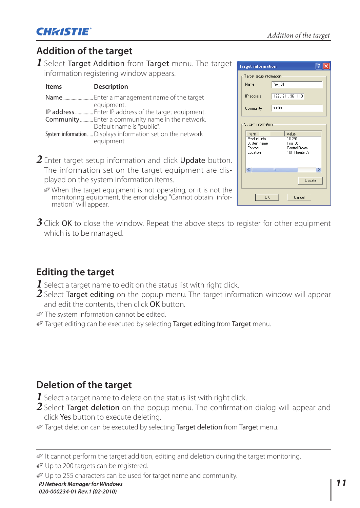## **Addition of the target**

*1* Select Target Addition from Target menu. The target information registering window appears.

| <b>Items</b> | <b>Description</b>                                                                                   |
|--------------|------------------------------------------------------------------------------------------------------|
| Name         | Enter a management name of the target                                                                |
|              | equipment.<br>IP address  Enter IP address of the target equipment.                                  |
|              | Community  Enter a community name in the network.                                                    |
|              | Default name is "public".<br>System information Displays information set on the network<br>equipment |

- *2* Enter target setup information and click Update button. The information set on the target equipment are displayed on the system information items.
- **Target information** त्र Target setup information  $Pro\_01$ Marco. 172 21 96 113 IP address public Community Sustem information Item  $\frac{\text{Value}}{10.29}$ Product info System name<br>Contact  $Proj_0$ Control Room Location 101 Theater A  $\rightarrow$  $\overline{\mathbf{K}}$ Update  $\Omega$ K Cancel
- When the target equipment is not operating, or it is not the monitoring equipment, the error dialog "Cannot obtain information" will appear.
- **3** Click OK to close the window. Repeat the above steps to register for other equipment which is to be managed.

## **Editing the target**

- **1** Select a target name to edit on the status list with right click.
- 2 Select Target editing on the popup menu. The target information window will appear and edit the contents, then click OK button.
- The system information cannot be edited.
- Target editing can be executed by selecting Target editing from Target menu.

## **Deletion of the target**

- *1* Select a target name to delete on the status list with right click.
- *2* Select Target deletion on the popup menu. The confirmation dialog will appear and click Yes button to execute deleting.
- Target deletion can be executed by selecting Target deletion from Target menu.

It cannot perform the target addition, editing and deletion during the target monitoring.

Up to 200 targets can be registered.

Up to 255 characters can be used for target name and community.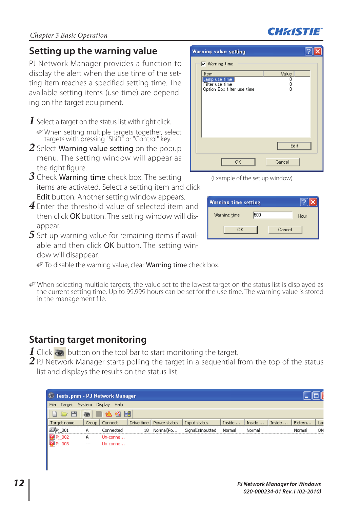## **Setting up the warning value**

PJ Network Manager provides a function to display the alert when the use time of the setting item reaches a specified setting time. The available setting items (use time) are depending on the target equipment.

- 1 Select a target on the status list with right click. When setting multiple targets together, select targets with pressing "Shift" or "Control" key.
- 2 Select **Warning value setting** on the popup menu. The setting window will appear as the right figure.
- **3** Check **Warning time** check box. The setting items are activated. Select a setting item and click **Edit** button. Another setting window appears.
- **4** Enter the threshold value of selected item and then click OK button. The setting window will disappear.
- *5* Set up warning value for remaining items if available and then click OK button. The setting window will disappear.
	- $\mathcal O$  To disable the warning value, clear **Warning time** check box.
- When selecting multiple targets, the value set to the lowest target on the status list is displayed as the current setting time. Up to 99,999 hours can be set for the use time. The warning value is stored in the management file.

## **Starting target monitoring**

- $\bf{l}$  Click  $\bf{e}$  button on the tool bar to start monitoring the target.
- 2 PJ Network Manager starts polling the target in a sequential from the top of the status list and displays the results on the status list.

| <b>Warning value setting</b>                                                                    |                      |
|-------------------------------------------------------------------------------------------------|----------------------|
| $\nabla$ Warning time<br>Item<br>Lamp use time<br>Filter use time<br>Option Box filter use time | Value<br>٥<br>٥<br>0 |
|                                                                                                 |                      |
|                                                                                                 | Edit                 |
| OK                                                                                              | Cancel               |

(Example of the set up window)

| <b>Warning time setting</b> |        |      |
|-----------------------------|--------|------|
| 500<br>Warning time         |        | Hour |
| OK                          | Cancel |      |

| Tests.pnm - PJ Network Manager |        |                 |            |              |                  |        |        |        |        |     |
|--------------------------------|--------|-----------------|------------|--------------|------------------|--------|--------|--------|--------|-----|
| File<br>Target                 | System | Display Help    |            |              |                  |        |        |        |        |     |
| 囸<br>$\overline{r}$            |        | 公園園             |            |              |                  |        |        |        |        |     |
| Target name                    |        | Group   Connect | Drive time | Power status | Input status     | Inside | Inside | Inside | Extern | Lan |
| $\sim P1001$                   | А      | Connected       | 18         | Normal(Po    | SignalIsInputted | Normal | Normal |        | Normal | ON  |
| $\frac{1}{2}P_1_002$           | А      | Un-conne        |            |              |                  |        |        |        |        |     |
|                                | $---$  | Un-conne        |            |              |                  |        |        |        |        |     |

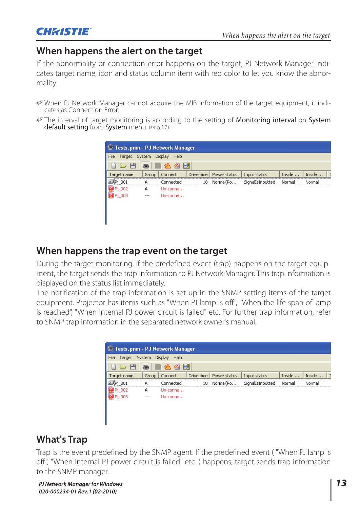

## **When happens the alert on the target**

If the abnormality or connection error happens on the target, PJ Network Manager indicates target name, icon and status column item with red color to let you know the abnormality.

- When PJ Network Manager cannot acquire the MIB information of the target equipment, it indicates as Connection Error.
- The interval of target monitoring is according to the setting of Monitoring interval on System default setting from System menu. ([870,17]

| Tests.pnm - PJ Network Manager |         |                 |            |              |                  |        |        |
|--------------------------------|---------|-----------------|------------|--------------|------------------|--------|--------|
| File<br>Target                 | System  | Display<br>Help |            |              |                  |        |        |
| $\Box$                         | ভ       | 磻               | 殿          |              |                  |        |        |
| Target name                    | Group   | Connect         | Drive time | Power status | Input status     | Inside | Inside |
| $\bullet$ Pi 001               | А       | Connected       | 18         | Normal(Po    | SignalIsInputted | Normal | Normal |
| Pi 002                         | А       | Un-conne        |            |              |                  |        |        |
| <b>Pi 003</b>                  | $- - -$ | Un-conne        |            |              |                  |        |        |
|                                |         |                 |            |              |                  |        |        |
|                                |         |                 |            |              |                  |        |        |
|                                |         |                 |            |              |                  |        |        |
|                                |         |                 |            |              |                  |        |        |

## **When happens the trap event on the target**

During the target monitoring, if the predefined event (trap) happens on the target equipment, the target sends the trap information to PJ Network Manager. This trap information is displayed on the status list immediately.

The notification of the trap information is set up in the SNMP setting items of the target equipment. Projector has items such as "When PJ lamp is off", "When the life span of lamp is reached", "When internal PJ power circuit is failed" etc. For further trap information, refer to SNMP trap information in the separated network owner's manual.

| <sup>©</sup> Tests.pnm - PJ Network Manager |        |                 |    |                           |                  |        |        |
|---------------------------------------------|--------|-----------------|----|---------------------------|------------------|--------|--------|
| File<br>Target                              | System | Display<br>Help |    |                           |                  |        |        |
| $\Box$                                      | ভে     | 磻               | 殿  |                           |                  |        |        |
| Target name                                 | Group  | Connect         |    | Drive time   Power status | Input status     | Inside | Inside |
| $\circ$ Pi 001                              | А      | Connected       | 18 | Normal(Po                 | SignalIsInputted | Normal | Normal |
| ∎Pi 002                                     | А      | Un-conne        |    |                           |                  |        |        |
| <b>KA Pj 003</b>                            | $---$  | Lin-conne       |    |                           |                  |        |        |
|                                             |        |                 |    |                           |                  |        |        |
|                                             |        |                 |    |                           |                  |        |        |
|                                             |        |                 |    |                           |                  |        |        |

## **What's Trap**

Trap is the event predefined by the SNMP agent. If the predefined event ( "When PJ lamp is off", "When internal PJ power circuit is failed" etc. ) happens, target sends trap information to the SNMP manager.

*PJ Network Manager for Windows 13* 020-000234-01 Rev.1 (02-2010)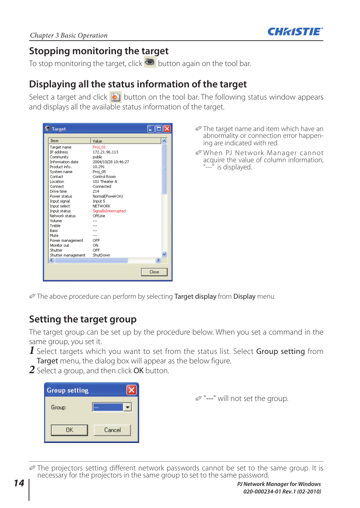

## **Stopping monitoring the target**

To stop monitoring the target, click  $\bullet$  button again on the tool bar.

## **Displaying all the status information of the target**

Select a target and click  $\overline{\bullet}$  button on the tool bar. The following status window appears and displays all the available status information of the target.

| <b>S</b> Target    |                     |       |
|--------------------|---------------------|-------|
| Item               | Value               |       |
| Target name        | Proj 01             |       |
| IP address         | 172.21.96.113       |       |
| Community          | public              |       |
| Information date   | 2004/10/28 10:46:27 |       |
| Product info.      | 10.291              | Ξ     |
| System name        | Proj 05             |       |
| Contact            | Control Room        |       |
| Location           | 101 Theater A       |       |
| Connect            | Connected           |       |
| Drive time         | 214                 |       |
| Power status       | Normal(PowerOn)     |       |
| Input signal       | Input 5             |       |
| Input select       | <b>NETWORK</b>      |       |
| Input status       | SignalIsInterrupted |       |
| Network status     | OffI ine            |       |
| Volume             |                     |       |
| Treble             |                     |       |
| Bass               |                     |       |
| Mute               |                     |       |
| Power management   | OFF                 |       |
| Monitor out        | ON                  |       |
| Shutter            | OFF                 |       |
| Shutter management | ShutDown            |       |
| ∢                  | m                   | ⋟     |
|                    |                     |       |
|                    |                     | Close |
|                    |                     |       |

- The target name and item which have an abnormality or connection error happening are indicated with red.
- When PJ Network Manager cannot acquire the value of column information, "---<sup>"</sup> is displayed.

The above procedure can perform by selecting Target display from Display menu.

## **Setting the target group**

The target group can be set up by the procedure below. When you set a command in the same group, you set it.

- *1* Select targets which you want to set from the status list. Select **Group setting** from Target menu, the dialog box will appear as the below figure.
- *2* Select a group, and then click OK button.

| <b>Group setting</b> |        |
|----------------------|--------|
| Group                | .      |
| <b>OK</b>            | Cancel |

 $\mathcal{D}$  "---" will not set the group.

 The projectors setting different network passwords cannot be set to the same group. It is necessary for the projectors in the same group to set to the same password.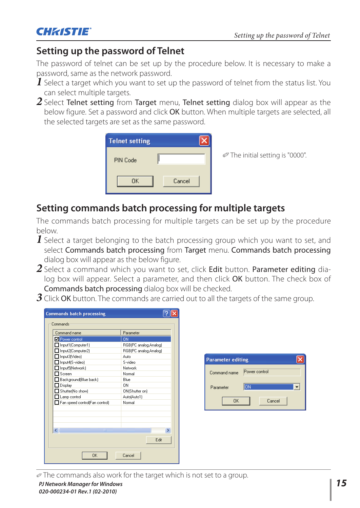

## **Setting up the password of Telnet**

The password of telnet can be set up by the procedure below. It is necessary to make a password, same as the network password.

- *1* Select a target which you want to set up the password of telnet from the status list. You can select multiple targets.
- *2* Select Telnet setting from Target menu, Telnet setting dialog box will appear as the below figure. Set a password and click OK button. When multiple targets are selected, all the selected targets are set as the same password.



## **Setting commands batch processing for multiple targets**

The commands batch processing for multiple targets can be set up by the procedure below.

- **I** Select a target belonging to the batch processing group which you want to set, and select Commands batch processing from Target menu. Commands batch processing dialog box will appear as the below figure.
- *2* Select a command which you want to set, click Edit button. Parameter editing dialog box will appear. Select a parameter, and then click OK button. The check box of

| <b>Commands batch processing dialog box will be checked.</b>                                            |  |
|---------------------------------------------------------------------------------------------------------|--|
| $\mathcal J$ Click <b>OK</b> button. The commands are carried out to all the targets of the same group. |  |

| Command name                       | Parameter             |  |
|------------------------------------|-----------------------|--|
| Power control                      | 0N                    |  |
| □ Input1(Computer1)                | RGB(PC analog Analog) |  |
| Input2(Computer2)                  | RGB(PC analog Analog) |  |
| Input3(Video)                      | Auto                  |  |
| Input4(S-video)                    | S-video               |  |
| Input5(Network)                    | Network               |  |
| Screen                             | Nomal                 |  |
| Background(Blue back)              | Blue                  |  |
| Display                            | ΠN                    |  |
| Shutter[No show]                   | ON(Shutter on)        |  |
| Lamp control                       | Auto[Auto1]           |  |
| Fan speed control(Fan control)     | Normal                |  |
| $\left\langle \right\rangle$<br>ШI |                       |  |
|                                    | Edit                  |  |

| <b>Parameter editing</b> |               |  |
|--------------------------|---------------|--|
| Command name             | Power control |  |
| Parameter                | ON            |  |
| <b>DK</b>                | Cancel        |  |

The commands also work for the target which is not set to a group.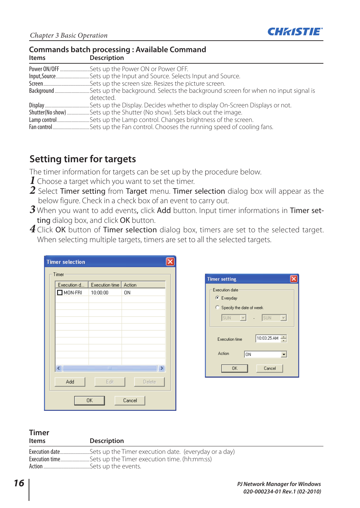

#### **Commands batch processing : Available Command Items Description**

| Power ON/OFF Sets up the Power ON or Power OFF. |
|-------------------------------------------------|
|                                                 |
|                                                 |
|                                                 |
| detected.                                       |
|                                                 |
|                                                 |
|                                                 |
|                                                 |

## **Setting timer for targets**

The timer information for targets can be set up by the procedure below.

- *1* Choose a target which you want to set the timer.
- 2 Select Timer setting from Target menu. Timer selection dialog box will appear as the below figure. Check in a check box of an event to carry out.
- 3 When you want to add events, click Add button. Input timer informations in Timer setting dialog box, and click OK button.
- 4 Click OK button of Timer selection dialog box, timers are set to the selected target. When selecting multiple targets, timers are set to all the selected targets.

| <b>Timer selection</b> |                                           |        |  |  |  |
|------------------------|-------------------------------------------|--------|--|--|--|
| Timer                  |                                           |        |  |  |  |
| Execution d            | Execution time                            | Action |  |  |  |
| $\square$ MON-FRI      | 10:00:00                                  | 0N     |  |  |  |
|                        |                                           |        |  |  |  |
|                        |                                           |        |  |  |  |
|                        |                                           |        |  |  |  |
|                        |                                           |        |  |  |  |
|                        |                                           |        |  |  |  |
|                        |                                           |        |  |  |  |
|                        |                                           |        |  |  |  |
|                        |                                           |        |  |  |  |
|                        | $\begin{array}{c} \text{III} \end{array}$ |        |  |  |  |
| Add                    | Edit                                      | Delete |  |  |  |
| <b>OK</b><br>Cancel    |                                           |        |  |  |  |



## **Timer**

**Description** 

Execution date ......................... Sets up the Timer execution date. (everyday or a day) Execution time .......................... Sets up the Timer execution time. (hh:mm:ss) ..Sets up the events.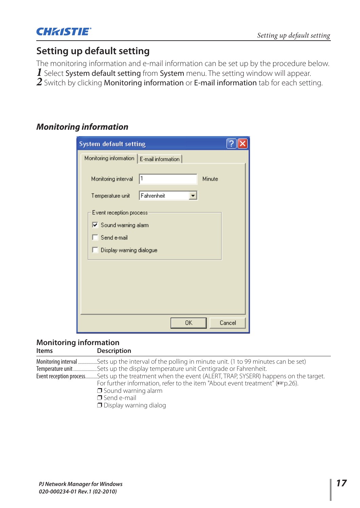

## **Setting up default setting**

The monitoring information and e-mail information can be set up by the procedure below. 1 Select System default setting from System menu. The setting window will appear. 2 Switch by clicking Monitoring information or E-mail information tab for each setting.

## *Monitoring information*

| <b>System default setting</b>               |                  |        |
|---------------------------------------------|------------------|--------|
| Monitoring information   E-mail information |                  |        |
| Monitoring interval<br>Temperature unit     | 11<br>Fahrenheit | Minute |
| Event reception process                     |                  |        |
| Sound warning alarm                         |                  |        |
| $\Box$ Send e-mail                          |                  |        |
| Display warning dialogue                    |                  |        |
|                                             |                  |        |
|                                             |                  |        |
|                                             |                  |        |
|                                             |                  |        |
|                                             | 0K               | Cancel |

## **Monitoring information**

| Items | Description                                                                                                                                                                                                                                                                                                                                                   |
|-------|---------------------------------------------------------------------------------------------------------------------------------------------------------------------------------------------------------------------------------------------------------------------------------------------------------------------------------------------------------------|
|       | Monitoring interval Sets up the interval of the polling in minute unit. (1 to 99 minutes can be set)<br>Event reception processSets up the treatment when the event (ALERT, TRAP, SYSERR) happens on the target.<br>For further information, refer to the item "About event treatment" ( $\approx$ p.26).<br>$\Box$ Sound warning alarm<br>$\Box$ Send e-mail |
|       | $\Box$ Display warning dialog                                                                                                                                                                                                                                                                                                                                 |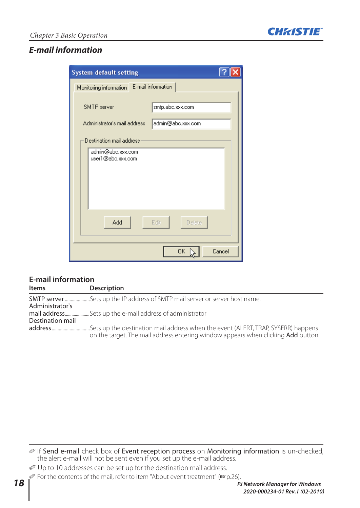

## *E-mail information*

| <b>System default setting</b>                                                                                                                                     |
|-------------------------------------------------------------------------------------------------------------------------------------------------------------------|
| Monitoring information E-mail information                                                                                                                         |
| <b>SMTP</b> server<br>smtp.abc.xxx.com<br>Administrator's mail address<br>admin@abc.xxx.com<br>Destination mail address<br>admin@abc.xxx.com<br>user1@abc.xxx.com |
| Add<br>Edit<br>Delete                                                                                                                                             |
| Cancel<br>OK                                                                                                                                                      |

### **E-mail information**

| <b>Items</b>     | <b>Description</b>                                                                 |
|------------------|------------------------------------------------------------------------------------|
|                  | <b>SMTP server</b> Sets up the IP address of SMTP mail server or server host name. |
| Administrator's  |                                                                                    |
|                  | mail address Sets up the e-mail address of administrator                           |
| Destination mail |                                                                                    |
|                  | on the target. The mail address entering window appears when clicking Add button.  |

If Send e-mail check box of Event reception process on Monitoring information is un-checked, the alert e-mail will not be sent even if you set up the e-mail address.

Up to 10 addresses can be set up for the destination mail address.

For the contents of the mail, refer to item "About event treatment" ( $exp.26$ ).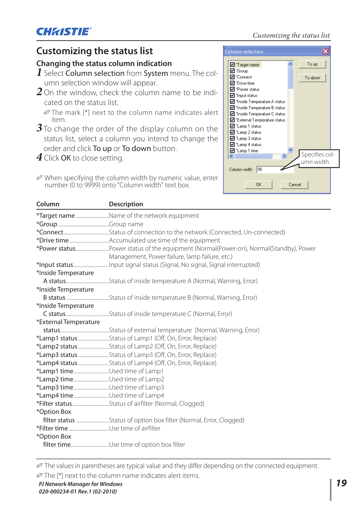Specifies column width

Cancel

To up

To down

## **Customizing the status list**

### **Changing the status column indication**

*1* Select Column selection from System menu. The column selection window will appear.

*2* On the window, check the column name to be indicated on the status list.

 The mark [\*] next to the column name indicates alert item.

**3** To change the order of the display column on the status list, select a column you intend to change the order and click To up or To down button.

*4* Click OK to close setting.

When specifying the column width by numeric value, enter number (0 to 9999) onto "Column width" text box.

| Column                        | <b>Description</b>                                     |
|-------------------------------|--------------------------------------------------------|
|                               | *Target nameName of the network equipment              |
|                               |                                                        |
|                               |                                                        |
|                               |                                                        |
|                               |                                                        |
|                               | Management, Power failure, lamp failure, etc.)         |
|                               |                                                        |
| *Inside Temperature           |                                                        |
|                               |                                                        |
| *Inside Temperature           |                                                        |
|                               |                                                        |
| *Inside Temperature           |                                                        |
|                               |                                                        |
| *External Temperature         |                                                        |
|                               |                                                        |
|                               | *Lamp1 statusStatus of Lamp1 (Off, On, Error, Replace) |
|                               |                                                        |
|                               |                                                        |
|                               |                                                        |
| *Lamp1 timeUsed time of Lamp1 |                                                        |
| *Lamp2 timeUsed time of Lamp2 |                                                        |
|                               |                                                        |
| *Lamp4 timeUsed time of Lamp4 |                                                        |
|                               |                                                        |
| *Option Box                   |                                                        |
|                               |                                                        |
|                               |                                                        |
| *Option Box                   |                                                        |
|                               |                                                        |

The values in parentheses are typical value and they differ depending on the connected equipment.

The [\*] next to the column name indicates alert items.

#### Customizing the status list **Column selection**  $\overline{\mathbf{x}}$

**V** \*Target name **Ø** "Group **जि** \*Connect

**⊡** \*Drive time **I** "Power status  $\overline{\mathsf{M}}$  "Input status □ "Inside Temperature A status □<br>□ "Inside Temperature B status **☑** "Inside Temperature C status ☑ "External Temperature status ■ "Lamp 1 status □ "Lamp 2 status ■ "Lamp 3 status  $\overline{\blacksquare}$  "Lamp 4 status ■ "Lamp 1 time  $\leq$ 

Column width 90

**OK**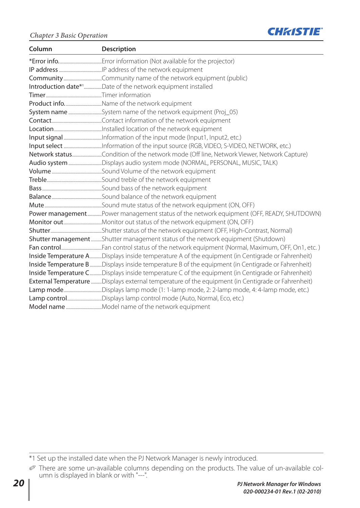

| Column | Description                                                                                       |
|--------|---------------------------------------------------------------------------------------------------|
|        |                                                                                                   |
|        |                                                                                                   |
|        |                                                                                                   |
|        | Introduction date*1Date of the network equipment installed                                        |
|        |                                                                                                   |
|        | Product infoName of the network equipment                                                         |
|        |                                                                                                   |
|        |                                                                                                   |
|        |                                                                                                   |
|        |                                                                                                   |
|        |                                                                                                   |
|        | Network statusCondition of the network mode (Off line, Network Viewer, Network Capture)           |
|        | Audio systemDisplays audio system mode (NORMAL, PERSONAL, MUSIC, TALK)                            |
|        |                                                                                                   |
|        |                                                                                                   |
|        |                                                                                                   |
|        |                                                                                                   |
|        |                                                                                                   |
|        | Power managementPower management status of the network equipment (OFF, READY, SHUTDOWN)           |
|        |                                                                                                   |
|        |                                                                                                   |
|        | Shutter management Shutter management status of the network equipment (Shutdown)                  |
|        |                                                                                                   |
|        | Inside Temperature ADisplays inside temperature A of the equipment (in Centigrade or Fahrenheit)  |
|        | Inside Temperature BDisplays inside temperature B of the equipment (in Centigrade or Fahrenheit)  |
|        | Inside Temperature CDisplays inside temperature C of the equipment (in Centigrade or Fahrenheit)  |
|        | External Temperature Displays external temperature of the equipment (in Centigrade or Fahrenheit) |
|        | Lamp modeDisplays lamp mode (1: 1-lamp mode, 2: 2-lamp mode, 4: 4-lamp mode, etc.)                |
|        | Lamp controlDisplays lamp control mode (Auto, Normal, Eco, etc.)                                  |
|        |                                                                                                   |

\*1 Set up the installed date when the PJ Network Manager is newly introduced.

There are some un-available columns depending on the products. The value of un-available column is displayed in blank or with "---".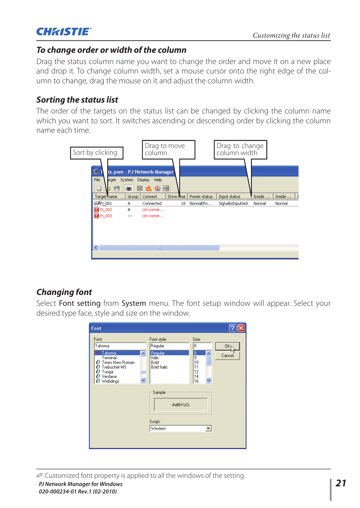

## *To change order or width of the column*

Drag the status column name you want to change the order and move it on a new place and drop it. To change column width, set a mouse cursor onto the right edge of the column to change, drag the mouse on it and adjust the column width.

## *Sorting the status list*

The order of the targets on the status list can be changed by clicking the column name which you want to sort. It switches ascending or descending order by clicking the column name each time.



## *Changing font*

Select Font setting from System menu. The font setup window will appear. Select your desired type face, style and size on the window.

| Font                                                                                                                                   |                                                                           |                                                                        |                           |
|----------------------------------------------------------------------------------------------------------------------------------------|---------------------------------------------------------------------------|------------------------------------------------------------------------|---------------------------|
| Font:<br>Tahoma<br>Tahoma<br>$\boldsymbol{\wedge}$<br>Terminal<br>Times New Roman<br>Trebuchet MS<br>Tunga<br>Verdana<br>Webdings<br>0 | Font style:<br>Regular<br>Regular<br>Italic<br>Bold<br><b>Bold Italic</b> | Size:<br>8<br>8<br>$\blacktriangle$<br>E<br>10<br>11<br>12<br>14<br>16 | 0K <sub>I</sub><br>Cancel |
|                                                                                                                                        | Sample<br>AaBbYyZz<br>Script:<br>Western                                  | $\blacktriangledown$                                                   |                           |
|                                                                                                                                        |                                                                           |                                                                        |                           |

Customized font property is applied to all the windows of the setting.

*PJ Network Manager for Windows 21 020-000234-01 Rev.1 (02-2010)*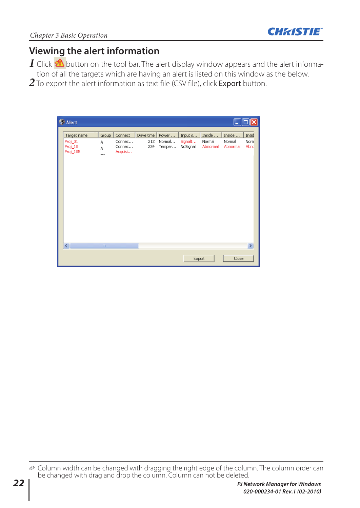

## **Viewing the alert information**

- $1$  Click  $\mathbb A$  button on the tool bar. The alert display window appears and the alert information of all the targets which are having an alert is listed on this window as the below.
- 2 To export the alert information as text file (CSV file), click Export button.



 Column width can be changed with dragging the right edge of the column. The column order can be changed with drag and drop the column. Column can not be deleted.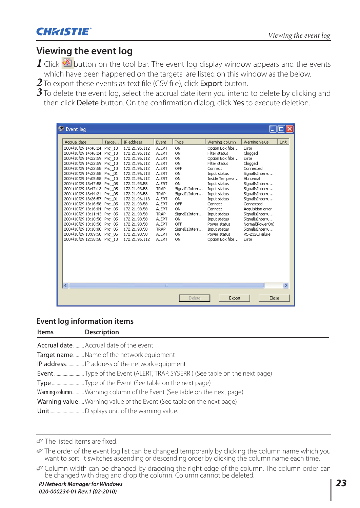

## **Viewing the event log**

 $1$  Click  $\mathbb{\mathfrak{A}}$  button on the tool bar. The event log display window appears and the events which have been happened on the targets are listed on this window as the below.

2 To export these events as text file (CSV file), click Export button.

 $3$  To delete the event log, select the accrual date item you intend to delete by clicking and then click Delete button. On the confirmation dialog, click Yes to execute deletion.

| Event log                   |       |               |               |                |                              |                                   |               |
|-----------------------------|-------|---------------|---------------|----------------|------------------------------|-----------------------------------|---------------|
| Accrual date                | Targe | IP address    | Event         | Type           | Warning column               | Warning value                     | Unit.         |
| 2004/10/29 14:46:24 Proj 10 |       | 172.21.96.112 | ALERT         | ON             | Option Box filte             | Error                             |               |
| 2004/10/29 14:46:24 Proj 10 |       | 172.21.96.112 | ALERT         | ON             | Filter status                | Clogged                           |               |
| 2004/10/29 14:22:59 Proj 10 |       | 172.21.96.112 | ALERT         | ON             | Option Box filte             | Error                             |               |
| 2004/10/29 14:22:59 Proi 10 |       | 172.21.96.112 | <b>ALERT</b>  | ON             | Filter status                | Clogged                           |               |
| 2004/10/29 14:22:58 Proj 10 |       | 172.21.96.112 | ALERT         | OFF            | Connect                      | Connected                         |               |
| 2004/10/29 14:22:58 Proj 01 |       | 172.21.96.113 | ALERT         | ON             | Input status                 | SignalIsInterru                   |               |
| 2004/10/29 14:05:58 Proj 10 |       | 172.21.96.112 | ALERT         | ON             | Inside Tempera               | Abnormal                          |               |
| 2004/10/29 13:47:58 Proj 05 |       | 172.21.93.58  | <b>ALERT</b>  | ON             | Input status                 | SignalIsInterru                   |               |
| 2004/10/29 13:47:12 Proi 05 |       | 172.21.93.58  | TRAP          | SignalIsInterr | Input status                 | SignalIsInterru                   |               |
| 2004/10/29 13:44:21 Proj 05 |       | 172.21.93.58  | TRAP          | SignalIsInterr | Input status                 | SignalIsInterru                   |               |
| 2004/10/29 13:26:57 Proj 01 |       | 172.21.96.113 | ALERT         | ON             | Input status                 | SignalIsInterru                   |               |
| 2004/10/29 13:16:58 Proj 05 |       | 172.21.93.58  | ALERT         | OFF            | Connect                      | Connected                         |               |
| 2004/10/29 13:16:04 Proi 05 |       | 172.21.93.58  | ALERT         | ON             | Connect                      | Acquisition error                 |               |
| 2004/10/29 13:11:43 Proj_05 |       | 172.21.93.58  | TRAP          | SignalIsInterr | Input status                 | SignalIsInterru                   |               |
| 2004/10/29 13:10:58 Proj 05 |       | 172.21.93.58  | ALERT         | ON<br>OFF      | Input status                 | SignalIsInterru                   |               |
| 2004/10/29 13:10:58 Proj 05 |       | 172.21.93.58  | ALERT<br>TRAP | SignalIsInterr | Power status<br>Input status | Normal(PowerOn)                   |               |
| 2004/10/29 13:10:00 Proj 05 |       | 172.21.93.58  | <b>ALERT</b>  | ON             | Power status                 | SignalIsInterru<br>RS-232CFailure |               |
| 2004/10/29 13:09:58 Proi 05 |       | 172.21.93.58  | ALERT         | ON             |                              | Error                             |               |
| 2004/10/29 12:38:58 Proj 10 |       | 172.21.96.112 |               |                | Option Box filte             |                                   |               |
|                             |       |               |               |                |                              |                                   |               |
| $\left\  \cdot \right\ $    |       |               | TILL          |                |                              |                                   | $\rightarrow$ |
|                             |       |               |               | Delete         | Export                       | Close                             |               |

### **Event log information items**

| <b>Items</b> | <b>Description</b>                                                      |
|--------------|-------------------------------------------------------------------------|
|              | Accrual date  Accrual date of the event                                 |
|              | <b>Target name</b> Name of the network equipment                        |
|              | IP address IP address of the network equipment                          |
|              |                                                                         |
|              | TypeType of the Event (See table on the next page)                      |
|              | Warning column Warning column of the Event (See table on the next page) |
|              | Warning value Warning value of the Event (See table on the next page)   |
|              |                                                                         |

The listed items are fixed.

The order of the event log list can be changed temporarily by clicking the column name which you want to sort. It switches ascending or descending order by clicking the column name each time.

Column width can be changed by dragging the right edge of the column. The column order can be changed with drag and drop the column. Column cannot be deleted.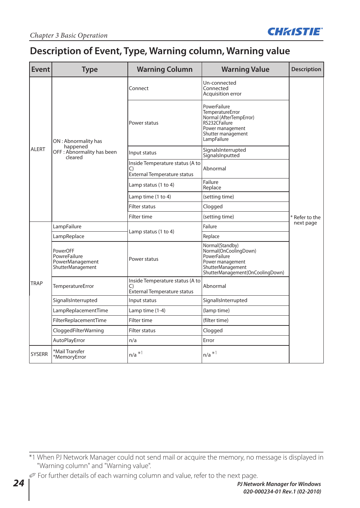

## **Description of Event, Type, Warning column, Warning value**

| Event         | <b>Warning Column</b><br><b>Type</b>                             |                                                                             | <b>Warning Value</b>                                                                                                                  | <b>Description</b> |  |
|---------------|------------------------------------------------------------------|-----------------------------------------------------------------------------|---------------------------------------------------------------------------------------------------------------------------------------|--------------------|--|
|               |                                                                  | Connect                                                                     | Un-connected<br>Connected<br>Acquisition error                                                                                        |                    |  |
|               | ON: Abnormality has                                              | Power status                                                                | PowerFailure<br>TemperatureError<br>Normal (AfterTempError)<br>RS232CFailure<br>Power management<br>Shutter management<br>LampFailure |                    |  |
| ALERT         | happened<br>OFF: Abnormality has been<br>cleared                 | Input status                                                                | SignalsInterrupted<br>SignalsInputted                                                                                                 |                    |  |
|               |                                                                  | Inside Temperature status (A to<br>C)<br><b>External Temperature status</b> | Abnormal                                                                                                                              |                    |  |
|               |                                                                  | Lamp status (1 to 4)                                                        | Failure<br>Replace                                                                                                                    |                    |  |
|               |                                                                  | Lamp time (1 to 4)                                                          | (setting time)                                                                                                                        |                    |  |
|               |                                                                  | <b>Filter status</b>                                                        | Clogged                                                                                                                               |                    |  |
|               |                                                                  | Filter time                                                                 | (setting time)                                                                                                                        | * Refer to the     |  |
|               | LampFailure                                                      | Lamp status (1 to 4)                                                        | Failure                                                                                                                               | next page          |  |
|               | LampReplace                                                      |                                                                             | Replace                                                                                                                               |                    |  |
| TRAP          | PowerOFF<br>PowreFailure<br>PowerManagement<br>ShutterManagement | Power status                                                                | Normal(Standby)<br>Normal(OnCoolingDown)<br>PowerFailure<br>Power management<br>ShutterManagement<br>ShutterManagement(OnCoolingDown) |                    |  |
|               | TemperatureError                                                 | Inside Temperature status (A to<br>C)<br><b>External Temperature status</b> | Abnormal                                                                                                                              |                    |  |
|               | SignallsInterrupted                                              | Input status                                                                | SignallsInterrupted                                                                                                                   |                    |  |
|               | LampReplacementTime                                              | Lamp time (1-4)                                                             | (lamp time)                                                                                                                           |                    |  |
|               | FilterReplacementTime                                            | Filter time                                                                 | (filter time)                                                                                                                         |                    |  |
|               | CloggedFilterWarning                                             | Filter status                                                               | Clogged                                                                                                                               |                    |  |
|               | AutoPlayError                                                    | n/a                                                                         | Error                                                                                                                                 |                    |  |
| <b>SYSERR</b> | *Mail Transfer<br>*MemoryError                                   | $n/a$ $*1$                                                                  | $n/a$ $*1$                                                                                                                            |                    |  |

<sup>\*1</sup> When PJ Network Manager could not send mail or acquire the memory, no message is displayed in "Warning column" and "Warning value".

For further details of each warning column and value, refer to the next page.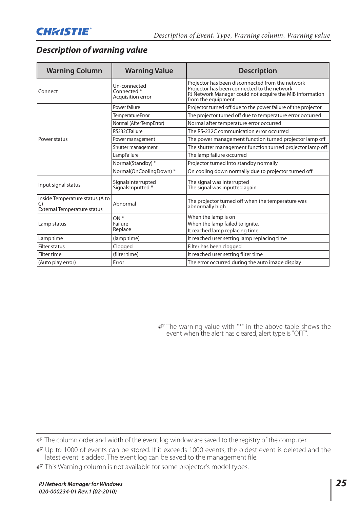## *Description of warning value*

| <b>Warning Column</b>                                                       | <b>Warning Value</b>                                        | <b>Description</b>                                                                                                                                                                |
|-----------------------------------------------------------------------------|-------------------------------------------------------------|-----------------------------------------------------------------------------------------------------------------------------------------------------------------------------------|
| Connect                                                                     | Un-connected<br>Connected <sup>*</sup><br>Acquisition error | Projector has been disconnected from the network<br>Projector has been connected to the network<br>PJ Network Manager could not acquire the MIB information<br>from the equipment |
|                                                                             | Power failure                                               | Projector turned off due to the power failure of the projector                                                                                                                    |
|                                                                             | <b>TemperatureError</b>                                     | The projector turned off due to temperature error occurred                                                                                                                        |
|                                                                             | Normal (AfterTempError)                                     | Normal after temperature error occurred                                                                                                                                           |
|                                                                             | RS232CFailure                                               | The RS-232C communication error occurred                                                                                                                                          |
| Power status                                                                | Power management                                            | The power management function turned projector lamp off                                                                                                                           |
|                                                                             | Shutter management                                          | The shutter management function turned projector lamp off                                                                                                                         |
|                                                                             | LampFailure                                                 | The lamp failure occurred                                                                                                                                                         |
|                                                                             | Normal(Standby) *                                           | Projector turned into standby normally                                                                                                                                            |
|                                                                             | Normal(OnCoolingDown)*                                      | On cooling down normally due to projector turned off                                                                                                                              |
| Input signal status                                                         | SignalsInterrupted<br>SignalsInputted *                     | The signal was interrupted<br>The signal was inputted again                                                                                                                       |
| Inside Temperature status (A to<br>C)<br><b>External Temperature status</b> | Abnormal                                                    | The projector turned off when the temperature was<br>abnormally high                                                                                                              |
| Lamp status                                                                 | $ON*$<br>Failure<br>Replace                                 | When the lamp is on<br>When the lamp failed to ignite.<br>It reached lamp replacing time.                                                                                         |
| Lamp time                                                                   | (lamp time)                                                 | It reached user setting lamp replacing time                                                                                                                                       |
| <b>Filter status</b>                                                        | Clogged                                                     | Filter has been clogged                                                                                                                                                           |
| Filter time                                                                 | (filter time)                                               | It reached user setting filter time                                                                                                                                               |
| (Auto play error)                                                           | Error                                                       | The error occurred during the auto image display                                                                                                                                  |

 The warning value with "\*" in the above table shows the event when the alert has cleared, alert type is "OFF".

The column order and width of the event log window are saved to the registry of the computer.

Up to 1000 of events can be stored. If it exceeds 1000 events, the oldest event is deleted and the latest event is added. The event log can be saved to the management file.

This Warning column is not available for some projector's model types.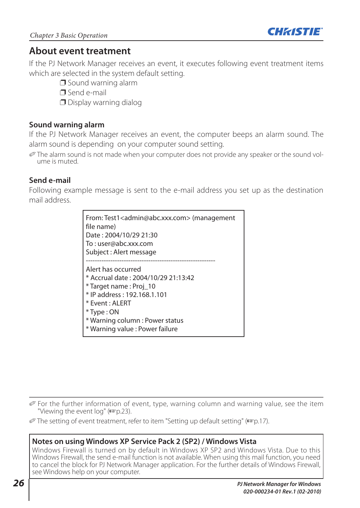

## **About event treatment**

If the PJ Network Manager receives an event, it executes following event treatment items which are selected in the system default setting.

- $\Box$  Sound warning alarm
- $\Box$  Send e-mail
- $\Box$  Display warning dialog

## **Sound warning alarm**

If the PJ Network Manager receives an event, the computer beeps an alarm sound. The alarm sound is depending on your computer sound setting.

 The alarm sound is not made when your computer does not provide any speaker or the sound volume is muted.

## **Send e-mail**

Following example message is sent to the e-mail address you set up as the destination mail address.

| From: Test1 <admin@abc.xxx.com> (management<br/>file name)<br/>Date: 2004/10/29 21:30<br/>To:user@abc.xxx.com<br/>Subject: Alert message</admin@abc.xxx.com>                                                                     |
|----------------------------------------------------------------------------------------------------------------------------------------------------------------------------------------------------------------------------------|
| Alert has occurred<br>* Accrual date: 2004/10/29 21:13:42<br>* Target name : Proj 10<br>* IP address: 192.168.1.101<br>$*$ Fvent : AI FRT<br>$*$ Type : ON<br>* Warning column : Power status<br>* Warning value : Power failure |

For the further information of event, type, warning column and warning value, see the item "Viewing the event log" ( $\mathbb{F}$ p.23).

The setting of event treatment, refer to item "Setting up default setting" ( $exp.17$ ).

## **Notes on using Windows XP Service Pack 2 (SP2) / Windows Vista**

Windows Firewall is turned on by default in Windows XP SP2 and Windows Vista. Due to this Windows Firewall, the send e-mail function is not available. When using this mail function, you need to cancel the block for PJ Network Manager application. For the further details of Windows Firewall, see Windows help on your computer.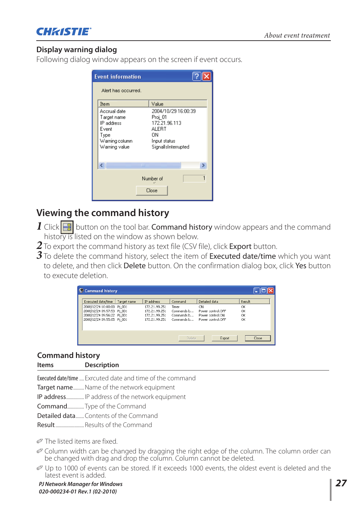

## **Display warning dialog**

Following dialog window appears on the screen if event occurs.

|                         | <b>Event information</b>                                                                      |                                                                                                       |
|-------------------------|-----------------------------------------------------------------------------------------------|-------------------------------------------------------------------------------------------------------|
|                         | Alert has occurred.                                                                           |                                                                                                       |
|                         | Item                                                                                          | Value                                                                                                 |
|                         | Accrual date<br>Target name<br>IP address<br>Event<br>Type<br>Warning column<br>Warning value | 2004/10/29 16:00:39<br>Proj 01<br>172.21.96.113<br>ALERT<br>ΠN<br>Input status<br>SignallsInterrupted |
|                         | <b>TITL</b>                                                                                   |                                                                                                       |
| 1<br>Number of<br>Close |                                                                                               |                                                                                                       |

## **Viewing the command history**

- 1 Click  $\blacksquare$  button on the tool bar. Command history window appears and the command history is listed on the window as shown below.
- **2** To export the command history as text file (CSV file), click **Export** button.
- 3 To delete the command history, select the item of Executed date/time which you want to delete, and then click Delete button. On the confirmation dialog box, click Yes button to execute deletion.

| Command history                                                                                                                            |             |                                                                                       |                                                            |                                                                                   |                                |
|--------------------------------------------------------------------------------------------------------------------------------------------|-------------|---------------------------------------------------------------------------------------|------------------------------------------------------------|-----------------------------------------------------------------------------------|--------------------------------|
| Executed date/time<br>2008/12/24 10:00:00 Pi 001<br>2008/12/24 09:57:53 Pi 001<br>2008/12/24 09:56:22 Pi 001<br>2008/12/24 09:55:05 Pj_001 | Target name | <b>IP address</b><br>172.21.99.251<br>172.21.99.251<br>172.21.99.251<br>172.21.99.251 | Command<br>Timer<br>Commands h<br>Commands b<br>Commands b | Detailed data<br>ON<br>Power control:OFF<br>Power control:ON<br>Power control:OFF | Result<br>OK<br>OK<br>OK<br>OK |
|                                                                                                                                            |             |                                                                                       | Delete                                                     | Export                                                                            | Close                          |

## **Command history**

| <b>Items</b> | Description |
|--------------|-------------|
|--------------|-------------|

Executed date/time .... Exrcuted date and time of the command

Target name.......... Name of the network equipment

- IP address ............... IP address of the network equipment
- Command .............. Type of the Command
- Detailed data ....... Contents of the Command

Result ........................ Results of the Command

The listed items are fixed.

- Column width can be changed by dragging the right edge of the column. The column order can be changed with drag and drop the column. Column cannot be deleted.
- Up to 1000 of events can be stored. If it exceeds 1000 events, the oldest event is deleted and the latest event is added.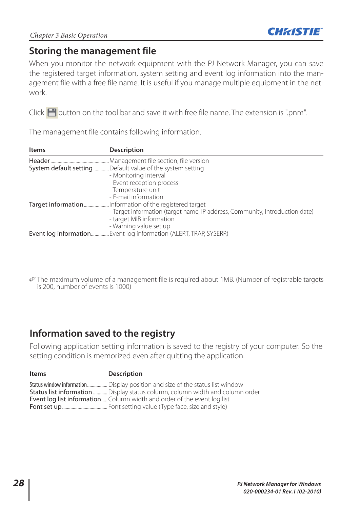

## **Storing the management file**

When you monitor the network equipment with the PJ Network Manager, you can save the registered target information, system setting and event log information into the management file with a free file name. It is useful if you manage multiple equipment in the network.

Click  $\blacksquare$  button on the tool bar and save it with free file name. The extension is ".pnm".

The management file contains following information.

| <b>Items</b> | <b>Description</b>                                                           |
|--------------|------------------------------------------------------------------------------|
|              | Management file section, file version.                                       |
|              | System default setting Default value of the system setting                   |
|              | - Monitoring interval                                                        |
|              | - Event reception process                                                    |
|              | - Temperature unit                                                           |
|              | - E-mail information                                                         |
|              | Target informationInformation of the registered target                       |
|              | - Target information (target name, IP address, Community, Introduction date) |
|              | - target MIB information                                                     |
|              | - Warning value set up                                                       |
|              | <b>Event log information</b> Event log information (ALERT, TRAP, SYSERR)     |

 The maximum volume of a management file is required about 1MB. (Number of registrable targets is 200, number of events is 1000)

## **Information saved to the registry**

Following application setting information is saved to the registry of your computer. So the setting condition is memorized even after quitting the application.

| Items | Description                                                                    |
|-------|--------------------------------------------------------------------------------|
|       | Status window informationDisplay position and size of the status list window   |
|       | Status list information  Display status column, column width and column order  |
|       | <b>Event log list information</b> Column width and order of the event log list |
|       |                                                                                |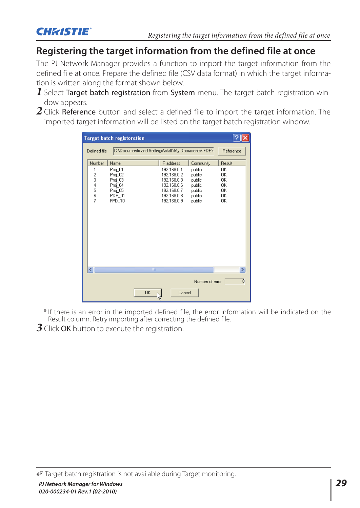

## **Registering the target information from the defined file at once**

The PJ Network Manager provides a function to import the target information from the defined file at once. Prepare the defined file (CSV data format) in which the target information is written along the format shown below.

- *1* Select Target batch registration from System menu. The target batch registration window appears.
- 2 Click Reference button and select a defined file to import the target information. The imported target information will be listed on the target batch registration window.

| <b>Target batch registoration</b> |                                |                                                                         |   |                                                                                                       |                                                                    |                                        |
|-----------------------------------|--------------------------------|-------------------------------------------------------------------------|---|-------------------------------------------------------------------------------------------------------|--------------------------------------------------------------------|----------------------------------------|
|                                   | Defined file                   |                                                                         |   | C:\Documents and Settings\staff\My Documents\IFDE\                                                    |                                                                    | Reference                              |
|                                   | Number                         | Name                                                                    |   | IP address                                                                                            | Community                                                          | Result                                 |
|                                   | 1<br>$\frac{2}{3}$<br>4<br>567 | Proj_01<br>Proj_02<br>Proj_03<br>Proj 04<br>Proj 05<br>PDP 01<br>FPD 10 |   | 192.168.0.1<br>192.168.0.2<br>192.168.0.3<br>192.168.0.6<br>192.168.0.7<br>192.168.0.8<br>192.168.0.9 | public<br>public<br>public<br>public<br>public<br>public<br>public | 0K<br>OΚ<br>OK<br>0K<br>0K<br>OK<br>0K |
|                                   | $\left\langle \right\rangle$   |                                                                         | m |                                                                                                       |                                                                    | $\,>$                                  |
|                                   |                                |                                                                         |   |                                                                                                       | Number of error                                                    | ō                                      |
|                                   | 0K<br>Cancel                   |                                                                         |   |                                                                                                       |                                                                    |                                        |

\* If there is an error in the imported defined file, the error information will be indicated on the Result column. Retry importing after correcting the defined file.

*3* Click OK button to execute the registration.

Target batch registration is not available during Target monitoring.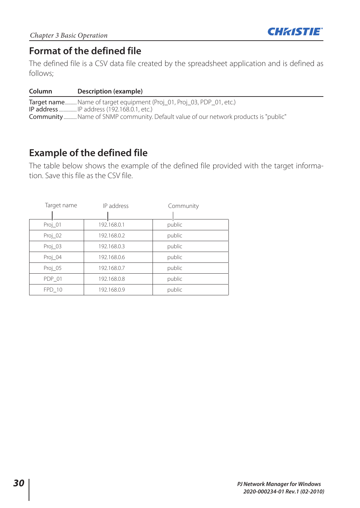

## **Format of the defined file**

The defined file is a CSV data file created by the spreadsheet application and is defined as follows;

#### **Column Description (example)**

Target name.......... Name of target equipment (Proj\_01, Proj\_03, PDP\_01, etc.) IP address ............... IP address (192.168.0.1, etc.) Community ........... Name of SNMP community. Default value of our network products is "public"

## **Example of the defined file**

The table below shows the example of the defined file provided with the target information. Save this file as the CSV file.

| Target name | IP address  | Community |
|-------------|-------------|-----------|
|             |             |           |
| Proj_01     | 192.168.0.1 | public    |
| Proj_02     | 192.168.0.2 | public    |
| Proj_03     | 192.168.0.3 | public    |
| Proj_04     | 192.168.0.6 | public    |
| Proj_05     | 192.168.0.7 | public    |
| PDP 01      | 192.168.0.8 | public    |
| FPD 10      | 192.168.0.9 | public    |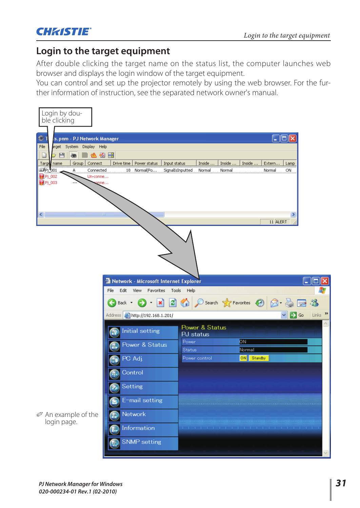

## **Login to the target equipment**

After double clicking the target name on the status list, the computer launches web browser and displays the login window of the target equipment.

You can control and set up the projector remotely by using the web browser. For the further information of instruction, see the separated network owner's manual.